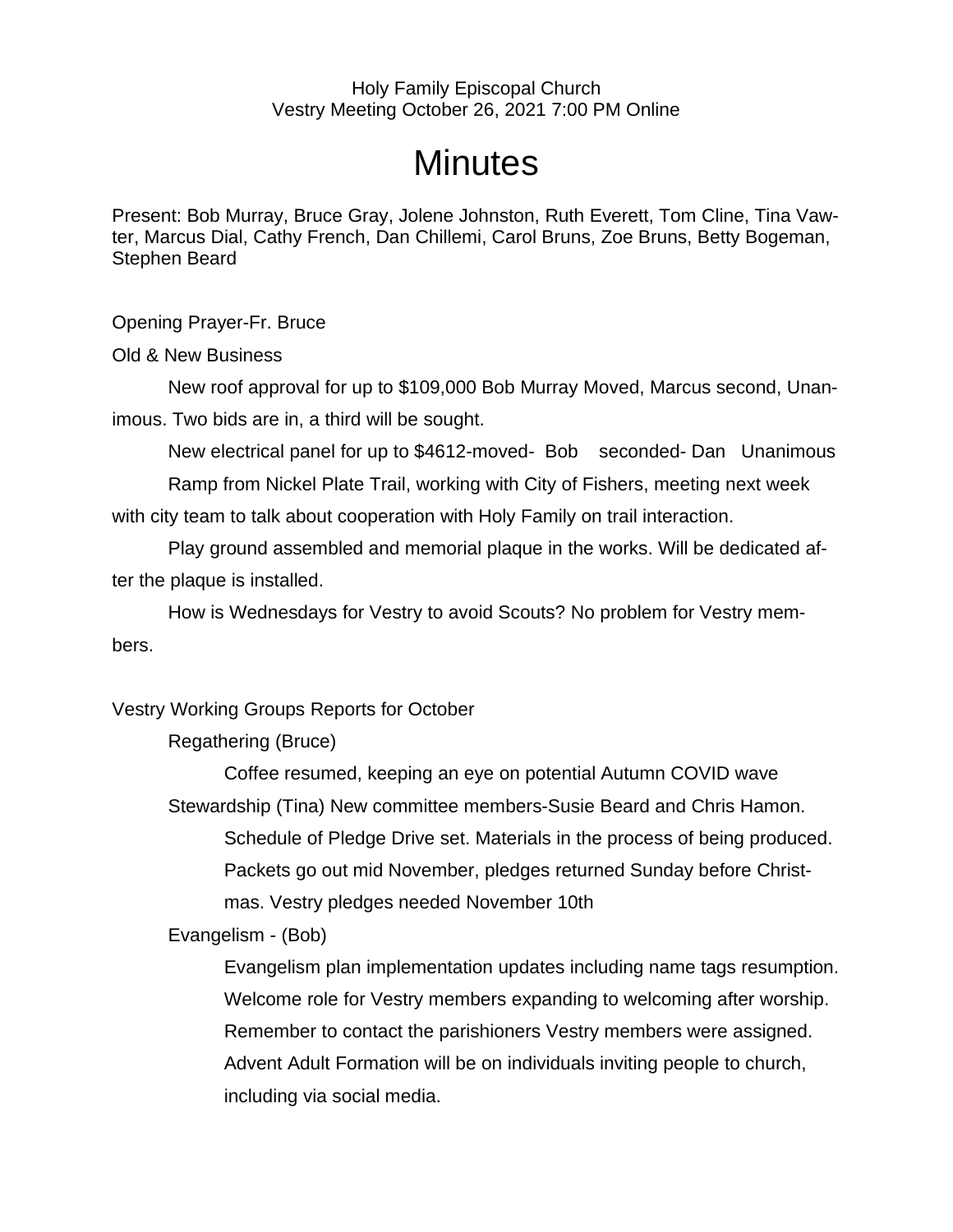## Holy Family Episcopal Church Vestry Meeting October 26, 2021 7:00 PM Online

## **Minutes**

Present: Bob Murray, Bruce Gray, Jolene Johnston, Ruth Everett, Tom Cline, Tina Vawter, Marcus Dial, Cathy French, Dan Chillemi, Carol Bruns, Zoe Bruns, Betty Bogeman, Stephen Beard

Opening Prayer-Fr. Bruce

Old & New Business

New roof approval for up to \$109,000 Bob Murray Moved, Marcus second, Unanimous. Two bids are in, a third will be sought.

New electrical panel for up to \$4612-moved- Bob seconded- Dan Unanimous Ramp from Nickel Plate Trail, working with City of Fishers, meeting next week

with city team to talk about cooperation with Holy Family on trail interaction.

Play ground assembled and memorial plaque in the works. Will be dedicated after the plaque is installed.

How is Wednesdays for Vestry to avoid Scouts? No problem for Vestry members.

Vestry Working Groups Reports for October

Regathering (Bruce)

Coffee resumed, keeping an eye on potential Autumn COVID wave Stewardship (Tina) New committee members-Susie Beard and Chris Hamon. Schedule of Pledge Drive set. Materials in the process of being produced. Packets go out mid November, pledges returned Sunday before Christmas. Vestry pledges needed November 10th

Evangelism - (Bob)

Evangelism plan implementation updates including name tags resumption. Welcome role for Vestry members expanding to welcoming after worship. Remember to contact the parishioners Vestry members were assigned. Advent Adult Formation will be on individuals inviting people to church, including via social media.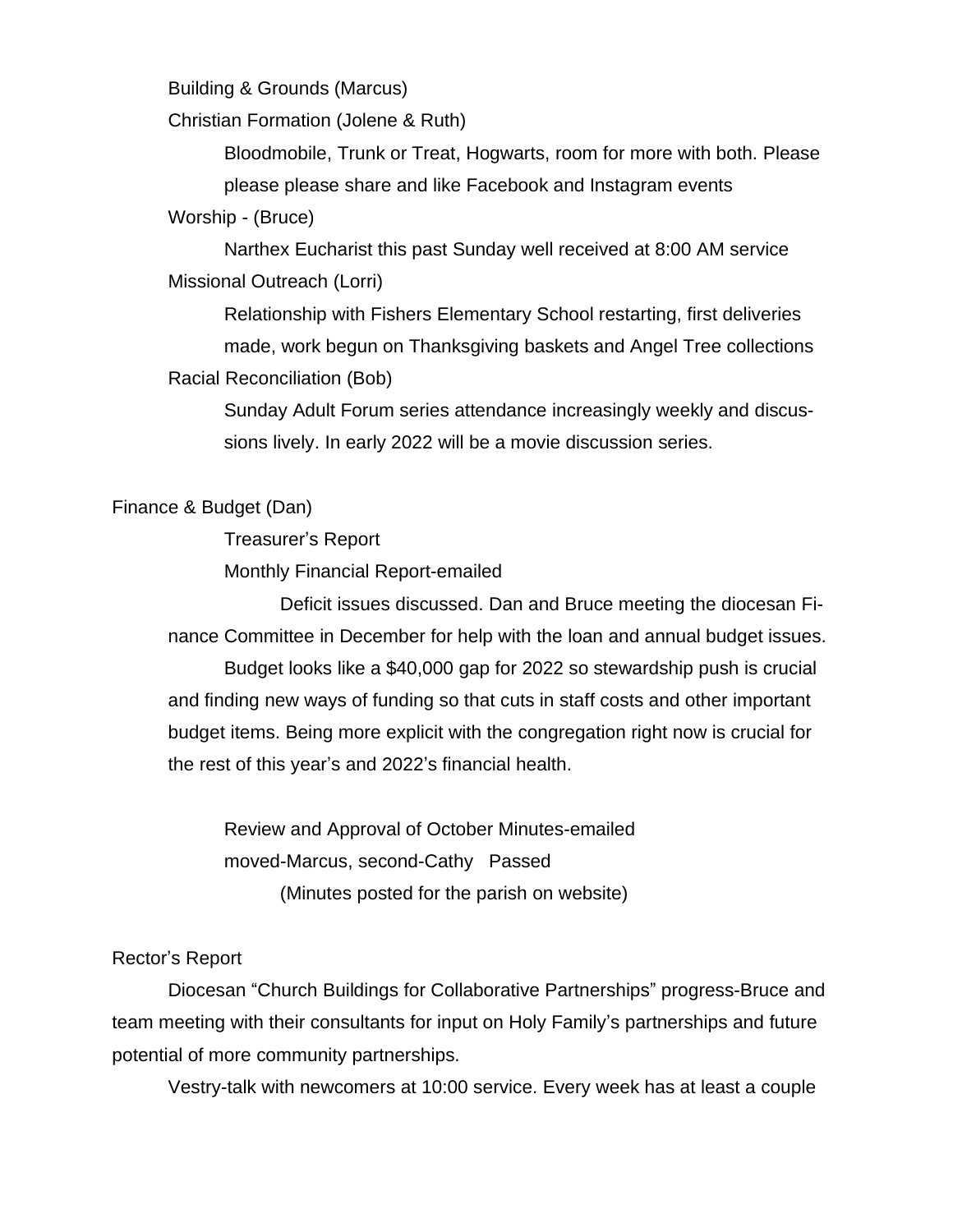Building & Grounds (Marcus)

Christian Formation (Jolene & Ruth)

Bloodmobile, Trunk or Treat, Hogwarts, room for more with both. Please please please share and like Facebook and Instagram events

Worship - (Bruce)

Narthex Eucharist this past Sunday well received at 8:00 AM service Missional Outreach (Lorri)

Relationship with Fishers Elementary School restarting, first deliveries made, work begun on Thanksgiving baskets and Angel Tree collections Racial Reconciliation (Bob)

Sunday Adult Forum series attendance increasingly weekly and discussions lively. In early 2022 will be a movie discussion series.

## Finance & Budget (Dan)

Treasurer's Report

Monthly Financial Report-emailed

Deficit issues discussed. Dan and Bruce meeting the diocesan Finance Committee in December for help with the loan and annual budget issues. Budget looks like a \$40,000 gap for 2022 so stewardship push is crucial and finding new ways of funding so that cuts in staff costs and other important budget items. Being more explicit with the congregation right now is crucial for the rest of this year's and 2022's financial health.

Review and Approval of October Minutes-emailed moved-Marcus, second-Cathy Passed (Minutes posted for the parish on website)

## Rector's Report

Diocesan "Church Buildings for Collaborative Partnerships" progress-Bruce and team meeting with their consultants for input on Holy Family's partnerships and future potential of more community partnerships.

Vestry-talk with newcomers at 10:00 service. Every week has at least a couple